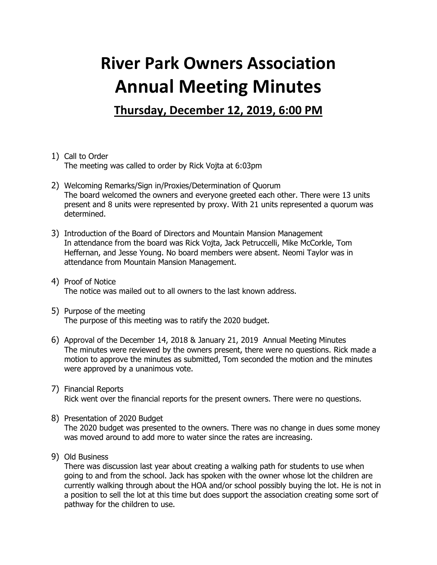## **River Park Owners Association Annual Meeting Minutes**

**Thursday, December 12, 2019, 6:00 PM**

- 1) Call to Order The meeting was called to order by Rick Vojta at 6:03pm
- 2) Welcoming Remarks/Sign in/Proxies/Determination of Quorum The board welcomed the owners and everyone greeted each other. There were 13 units present and 8 units were represented by proxy. With 21 units represented a quorum was determined.
- 3) Introduction of the Board of Directors and Mountain Mansion Management In attendance from the board was Rick Vojta, Jack Petruccelli, Mike McCorkle, Tom Heffernan, and Jesse Young. No board members were absent. Neomi Taylor was in attendance from Mountain Mansion Management.
- 4) Proof of Notice The notice was mailed out to all owners to the last known address.
- 5) Purpose of the meeting The purpose of this meeting was to ratify the 2020 budget.
- 6) Approval of the December 14, 2018 & January 21, 2019 Annual Meeting Minutes The minutes were reviewed by the owners present, there were no questions. Rick made a motion to approve the minutes as submitted, Tom seconded the motion and the minutes were approved by a unanimous vote.
- 7) Financial Reports Rick went over the financial reports for the present owners. There were no questions.
- 8) Presentation of 2020 Budget The 2020 budget was presented to the owners. There was no change in dues some money was moved around to add more to water since the rates are increasing.
- 9) Old Business

There was discussion last year about creating a walking path for students to use when going to and from the school. Jack has spoken with the owner whose lot the children are currently walking through about the HOA and/or school possibly buying the lot. He is not in a position to sell the lot at this time but does support the association creating some sort of pathway for the children to use.